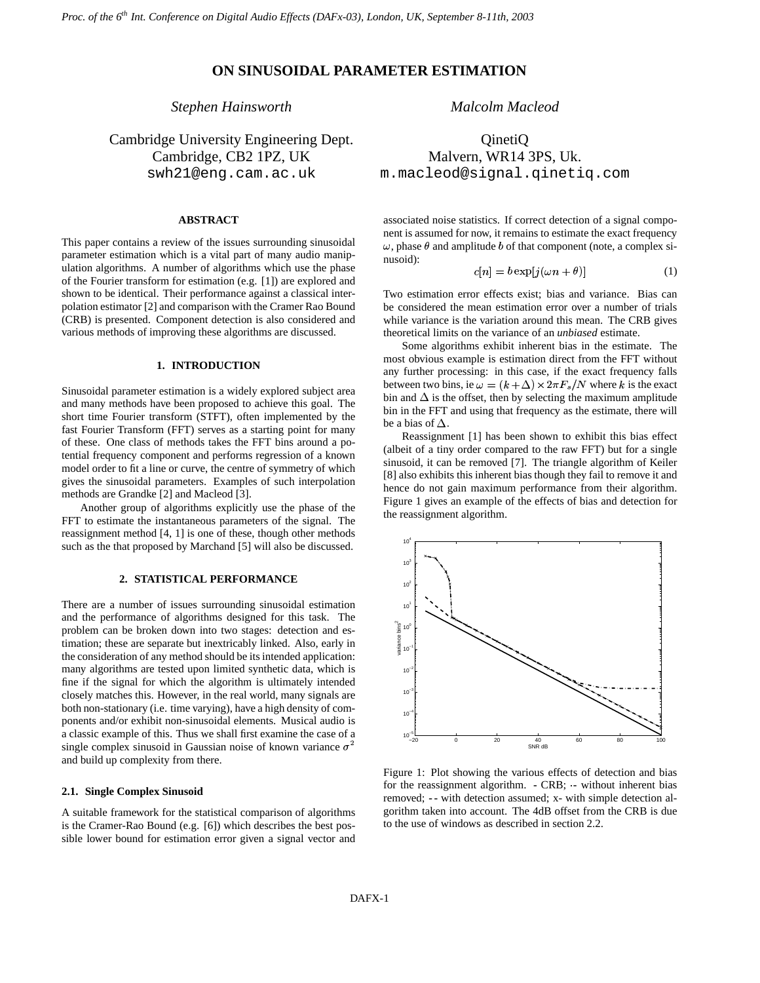# **ON SINUSOIDAL PARAMETER ESTIMATION**

# *Stephen Hainsworth*

Cambridge University Engineering Dept. Cambridge, CB2 1PZ, UK swh21@eng.cam.ac.uk

# **ABSTRACT**

This paper contains a review of the issues surrounding sinusoidal parameter estimation which is a vital part of many audio manipulation algorithms. A number of algorithms which use the phase of the Fourier transform for estimation (e.g. [1]) are explored and shown to be identical. Their performance against a classical interpolation estimator [2] and comparison with the Cramer Rao Bound (CRB) is presented. Component detection is also considered and various methods of improving these algorithms are discussed.

# **1. INTRODUCTION**

Sinusoidal parameter estimation is a widely explored subject area and many methods have been proposed to achieve this goal. The short time Fourier transform (STFT), often implemented by the fast Fourier Transform (FFT) serves as a starting point for many of these. One class of methods takes the FFT bins around a potential frequency component and performs regression of a known model order to fit a line or curve, the centre of symmetry of which gives the sinusoidal parameters. Examples of such interpolation methods are Grandke [2] and Macleod [3].

Another group of algorithms explicitly use the phase of the FFT to estimate the instantaneous parameters of the signal. The reassignment method [4, 1] is one of these, though other methods such as the that proposed by Marchand [5] will also be discussed.

# **2. STATISTICAL PERFORMANCE**

There are a number of issues surrounding sinusoidal estimation and the performance of algorithms designed for this task. The problem can be broken down into two stages: detection and estimation; these are separate but inextricably linked. Also, early in the consideration of any method should be its intended application: many algorithms are tested upon limited synthetic data, which is fine if the signal for which the algorithm is ultimately intended closely matches this. However, in the real world, many signals are both non-stationary (i.e. time varying), have a high density of components and/or exhibit non-sinusoidal elements. Musical audio is a classic example of this. Thus we shall first examine the case of a single complex sinusoid in Gaussian noise of known variance  $\sigma^2$ and build up complexity from there.

# **2.1. Single Complex Sinusoid**

A suitable framework for the statistical comparison of algorithms is the Cramer-Rao Bound (e.g. [6]) which describes the best possible lower bound for estimation error given a signal vector and *Malcolm Macleod*

QinetiQ Malvern, WR14 3PS, Uk. m.macleod@signal.qinetiq.com

associated noise statistics. If correct detection of a signal component is assumed for now, it remains to estimate the exact frequency  $\omega$ , phase  $\theta$  and amplitude  $b$  of that component (note, a complex sinusoid): **Contract Contract** 

$$
c[n] = b \exp[j(\omega n + \theta)] \tag{1}
$$

Two estimation error effects exist; bias and variance. Bias can be considered the mean estimation error over a number of trials while variance is the variation around this mean. The CRB gives theoretical limits on the variance of an *unbiased* estimate.

Some algorithms exhibit inherent bias in the estimate. The most obvious example is estimation direct from the FFT without any further processing: in this case, if the exact frequency falls between two bins, ie  $\omega = (k + \Delta) \times 2\pi F_s/N$  where k is the exact bin and  $\Delta$  is the offset, then by selecting the maximum amplitude bin in the FFT and using that frequency as the estimate, there will be a bias of  $\Delta$ .

Reassignment [1] has been shown to exhibit this bias effect (albeit of a tiny order compared to the raw FFT) but for a single sinusoid, it can be removed [7]. The triangle algorithm of Keiler [8] also exhibits this inherent bias though they fail to remove it and hence do not gain maximum performance from their algorithm. Figure 1 gives an example of the effects of bias and detection for the reassignment algorithm.



Figure 1: Plot showing the various effects of detection and bias for the reassignment algorithm. **-** CRB; - without inherent bias removed; **--** with detection assumed; x- with simple detection algorithm taken into account. The 4dB offset from the CRB is due to the use of windows as described in section 2.2.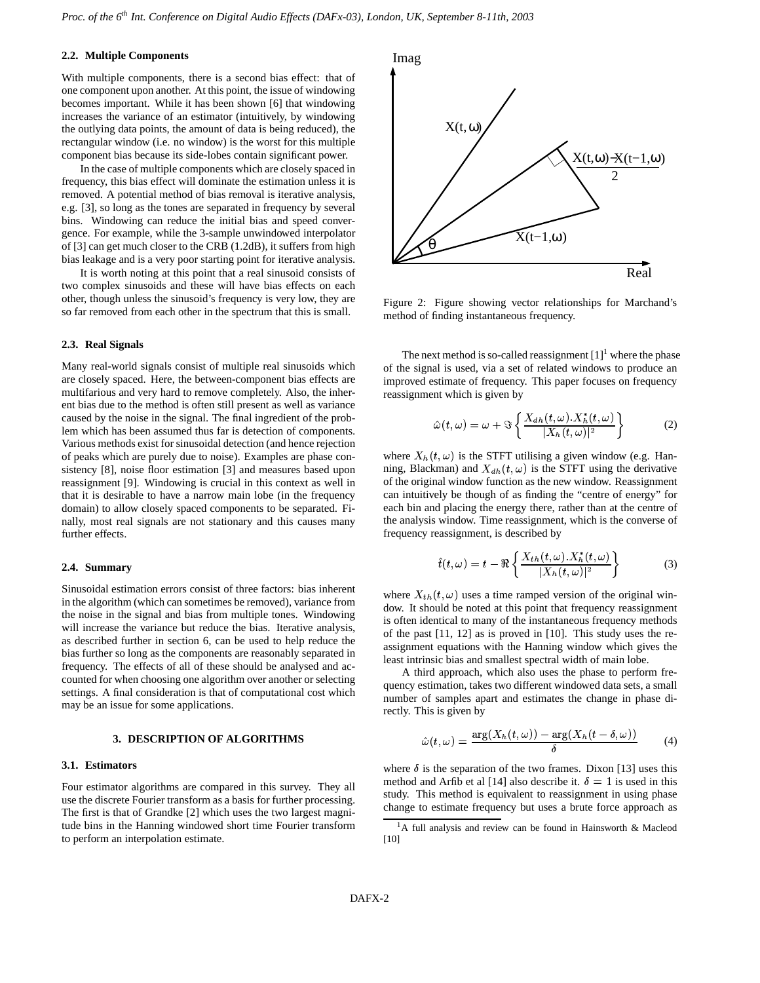## **2.2. Multiple Components**

With multiple components, there is a second bias effect: that of one component upon another. At this point, the issue of windowing becomes important. While it has been shown [6] that windowing increases the variance of an estimator (intuitively, by windowing the outlying data points, the amount of data is being reduced), the rectangular window (i.e. no window) is the worst for this multiple component bias because its side-lobes contain significant power.

In the case of multiple components which are closely spaced in frequency, this bias effect will dominate the estimation unless it is removed. A potential method of bias removal is iterative analysis, e.g. [3], so long as the tones are separated in frequency by several bins. Windowing can reduce the initial bias and speed convergence. For example, while the 3-sample unwindowed interpolator of [3] can get much closer to the CRB (1.2dB), it suffers from high bias leakage and is a very poor starting point for iterative analysis.

It is worth noting at this point that a real sinusoid consists of two complex sinusoids and these will have bias effects on each other, though unless the sinusoid's frequency is very low, they are so far removed from each other in the spectrum that this is small.

## **2.3. Real Signals**

Many real-world signals consist of multiple real sinusoids which are closely spaced. Here, the between-component bias effects are multifarious and very hard to remove completely. Also, the inherent bias due to the method is often still present as well as variance caused by the noise in the signal. The final ingredient of the problem which has been assumed thus far is detection of components. Various methods exist for sinusoidal detection (and hence rejection of peaks which are purely due to noise). Examples are phase consistency [8], noise floor estimation [3] and measures based upon reassignment [9]. Windowing is crucial in this context as well in that it is desirable to have a narrow main lobe (in the frequency domain) to allow closely spaced components to be separated. Finally, most real signals are not stationary and this causes many further effects.

## **2.4. Summary**

Sinusoidal estimation errors consist of three factors: bias inherent in the algorithm (which can sometimes be removed), variance from the noise in the signal and bias from multiple tones. Windowing will increase the variance but reduce the bias. Iterative analysis, as described further in section 6, can be used to help reduce the bias further so long as the components are reasonably separated in frequency. The effects of all of these should be analysed and accounted for when choosing one algorithm over another or selecting settings. A final consideration is that of computational cost which may be an issue for some applications.

#### **3. DESCRIPTION OF ALGORITHMS**

# **3.1. Estimators**

Four estimator algorithms are compared in this survey. They all use the discrete Fourier transform as a basis for further processing. The first is that of Grandke [2] which uses the two largest magnitude bins in the Hanning windowed short time Fourier transform to perform an interpolation estimate.



Figure 2: Figure showing vector relationships for Marchand's method of finding instantaneous frequency.

The next method is so-called reassignment  $[1]$ <sup>1</sup> where the phase of the signal is used, via a set of related windows to produce an improved estimate of frequency. This paper focuses on frequency reassignment which is given by

$$
\hat{\omega}(t,\omega) = \omega + \Im \left\{ \frac{X_{dh}(t,\omega).X_h^*(t,\omega)}{|X_h(t,\omega)|^2} \right\}
$$
 (2)

where  $X_h(t, \omega)$  is the STFT utilising a given window (e.g. Hanning, Blackman) and  $X_{dh}(t, \omega)$  is the STFT using the derivative of the original window function as the new window. Reassignment can intuitively be though of as finding the "centre of energy" for each bin and placing the energy there, rather than at the centre of the analysis window. Time reassignment, which is the converse of frequency reassignment, is described by

$$
\hat{t}(t,\omega) = t - \Re\left\{\frac{X_{th}(t,\omega).X_h^*(t,\omega)}{|X_h(t,\omega)|^2}\right\}
$$
(3)

where  $X_{th}(t, \omega)$  uses a time ramped version of the original window. It should be noted at this point that frequency reassignment is often identical to many of the instantaneous frequency methods of the past [11, 12] as is proved in [10]. This study uses the reassignment equations with the Hanning window which gives the least intrinsic bias and smallest spectral width of main lobe.

A third approach, which also uses the phase to perform frequency estimation, takes two different windowed data sets, a small number of samples apart and estimates the change in phase directly. This is given by

$$
\hat{\omega}(t,\omega) = \frac{\arg(X_h(t,\omega)) - \arg(X_h(t-\delta,\omega))}{\delta} \tag{4}
$$

where  $\delta$  is the separation of the two frames. Dixon [13] uses this method and Arfib et al [14] also describe it.  $\delta = 1$  is used in this study. This method is equivalent to reassignment in using phase change to estimate frequency but uses a brute force approach as

<sup>&</sup>lt;sup>1</sup>A full analysis and review can be found in Hainsworth & Macleod [10]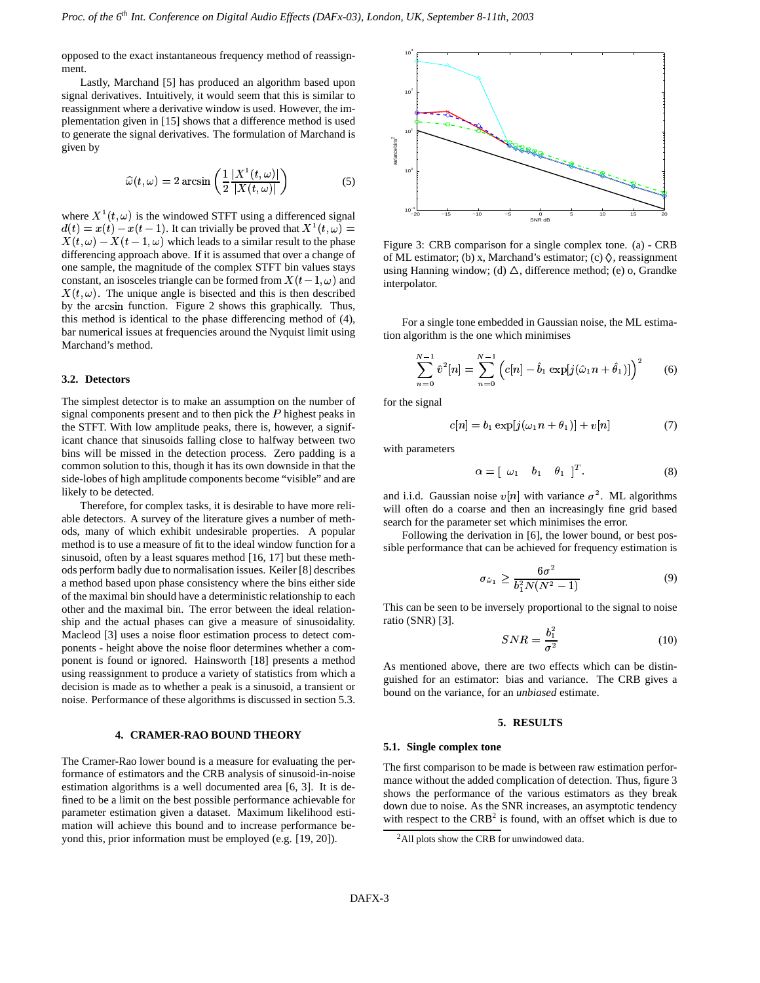opposed to the exact instantaneous frequency method of reassignment.

Lastly, Marchand [5] has produced an algorithm based upon signal derivatives. Intuitively, it would seem that this is similar to reassignment where a derivative window is used. However, the implementation given in [15] shows that a difference method is used to generate the signal derivatives. The formulation of Marchand is given by  $\widehat{C}(t)$  and  $\widehat{C}(t)$ 

$$
\widehat{\omega}(t,\omega) = 2 \arcsin\left(\frac{1}{2} \frac{|X^1(t,\omega)|}{|X(t,\omega)|}\right) \tag{5}
$$

where  $X^1(t, \omega)$  is the windowed STFT using a differenced signal  $d(t) = x(t) - x(t-1)$ . It can trivially be proved that  $X^1(t, \omega) =$  $\overrightarrow{X}(t, \omega) - X(t-1, \omega)$  which leads to a similar result to the phase differencing approach above. If it is assumed that over a change of one sample, the magnitude of the complex STFT bin values stays constant, an isosceles triangle can be formed from  $X(t-1,\omega)$  and in  $X(t, \omega)$ . The unique angle is bisected and this is then described by the arcsin function. Figure 2 shows this graphically. Thus, this method is identical to the phase differencing method of (4), bar numerical issues at frequencies around the Nyquist limit using Marchand's method.

#### **3.2. Detectors**

The simplest detector is to make an assumption on the number of signal components present and to then pick the  $P$  highest peaks in the STFT. With low amplitude peaks, there is, however, a significant chance that sinusoids falling close to halfway between two bins will be missed in the detection process. Zero padding is a common solution to this, though it has its own downside in that the side-lobes of high amplitude components become "visible" and are likely to be detected.

Therefore, for complex tasks, it is desirable to have more reliable detectors. A survey of the literature gives a number of methods, many of which exhibit undesirable properties. A popular method is to use a measure of fit to the ideal window function for a sinusoid, often by a least squares method [16, 17] but these methods perform badly due to normalisation issues. Keiler [8] describes a method based upon phase consistency where the bins either side of the maximal bin should have a deterministic relationship to each other and the maximal bin. The error between the ideal relationship and the actual phases can give a measure of sinusoidality. Macleod [3] uses a noise floor estimation process to detect components - height above the noise floor determines whether a component is found or ignored. Hainsworth [18] presents a method using reassignment to produce a variety of statistics from which a decision is made as to whether a peak is a sinusoid, a transient or noise. Performance of these algorithms is discussed in section 5.3.

## **4. CRAMER-RAO BOUND THEORY**

The Cramer-Rao lower bound is a measure for evaluating the performance of estimators and the CRB analysis of sinusoid-in-noise estimation algorithms is a well documented area [6, 3]. It is defined to be a limit on the best possible performance achievable for parameter estimation given a dataset. Maximum likelihood estimation will achieve this bound and to increase performance beyond this, prior information must be employed (e.g. [19, 20]).



Figure 3: CRB comparison for a single complex tone. (a) **-** CRB of ML estimator; (b) x, Marchand's estimator; (c)  $\Diamond$ , reassignment using Hanning window; (d)  $\Delta$ , difference method; (e) o, Grandke interpolator.

For a single tone embedded in Gaussian noise, the ML estimation algorithm is the one which minimises

$$
\sum_{n=0}^{N-1} \hat{v}^2[n] = \sum_{n=0}^{N-1} \left( c[n] - \hat{b}_1 \exp[j(\hat{\omega}_1 n + \hat{\theta}_1)] \right)^2 \tag{6}
$$

for the signal

$$
c[n] = b_1 \exp[j(\omega_1 n + \theta_1)] + v[n] \tag{7}
$$

with parameters

$$
\alpha = \left[ \begin{array}{ccc} \omega_1 & b_1 & \theta_1 \end{array} \right]^T. \tag{8}
$$

and i.i.d. Gaussian noise  $v[n]$  with variance  $\sigma^2$ . ML algorithms will often do a coarse and then an increasingly fine grid based search for the parameter set which minimises the error.

Following the derivation in [6], the lower bound, or best possible performance that can be achieved for frequency estimation is

$$
\sigma_{\hat{\omega}_1} \ge \frac{6\sigma^2}{b_1^2 N(N^2 - 1)}\tag{9}
$$

This can be seen to be inversely proportional to the signal to noise ratio  $(SNR)$  [3].

$$
SNR = \frac{b_1^2}{\sigma^2} \tag{10}
$$

As mentioned above, there are two effects which can be distinguished for an estimator: bias and variance. The CRB gives a bound on the variance, for an *unbiased* estimate.

#### **5. RESULTS**

## **5.1. Single complex tone**

The first comparison to be made is between raw estimation performance without the added complication of detection. Thus, figure 3 shows the performance of the various estimators as they break down due to noise. As the SNR increases, an asymptotic tendency with respect to the  $CRB<sup>2</sup>$  is found, with an offset which is due to

<sup>&</sup>lt;sup>2</sup>All plots show the CRB for unwindowed data.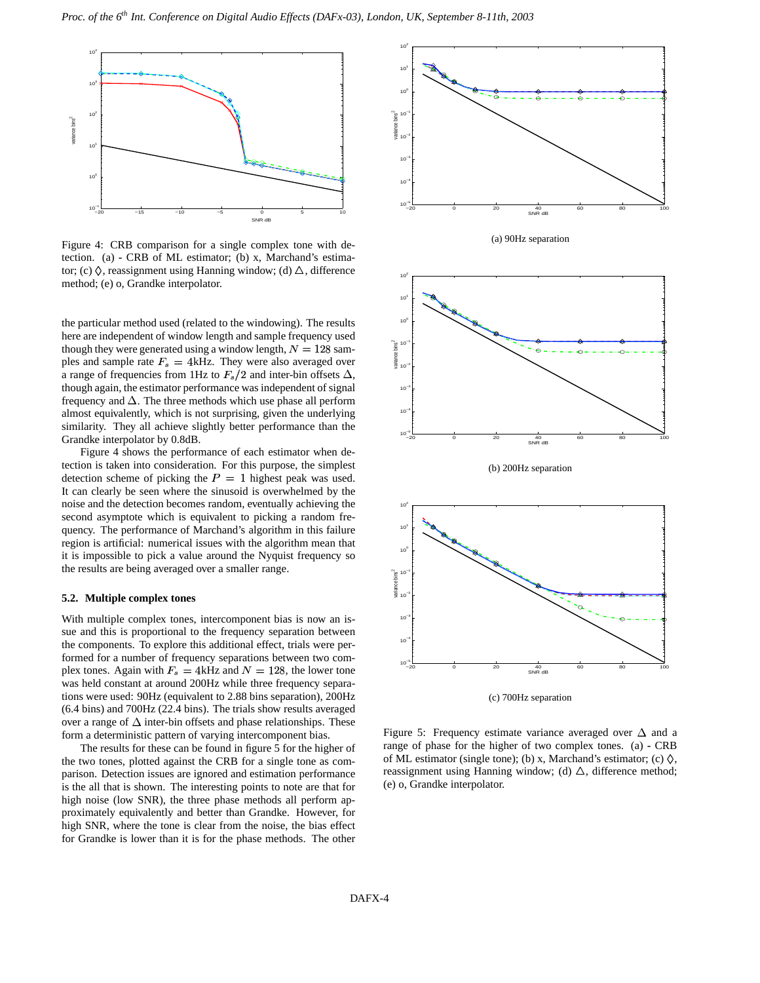

Figure 4: CRB comparison for a single complex tone with detection. (a) **-** CRB of ML estimator; (b) x, Marchand's estimator; (c)  $\Diamond$ , reassignment using Hanning window; (d)  $\triangle$ , difference method; (e) o, Grandke interpolator.

the particular method used (related to the windowing). The results here are independent of window length and sample frequency used though they were generated using a window length,  $N = 128$  samples and sample rate  $F_s = 4$ kHz. They were also averaged over a range of frequencies from 1Hz to  $F_s/2$  and inter-bin offsets  $\Delta$ , though again, the estimator performance was independent of signal frequency and  $\Delta$ . The three methods which use phase all perform almost equivalently, which is not surprising, given the underlying similarity. They all achieve slightly better performance than the Grandke interpolator by 0.8dB.

Figure 4 shows the performance of each estimator when detection is taken into consideration. For this purpose, the simplest detection scheme of picking the  $P = 1$  highest peak was used. It can clearly be seen where the sinusoid is overwhelmed by the noise and the detection becomes random, eventually achieving the second asymptote which is equivalent to picking a random frequency. The performance of Marchand's algorithm in this failure region is artificial: numerical issues with the algorithm mean that it is impossible to pick a value around the Nyquist frequency so the results are being averaged over a smaller range.

## **5.2. Multiple complex tones**

With multiple complex tones, intercomponent bias is now an issue and this is proportional to the frequency separation between the components. To explore this additional effect, trials were performed for a number of frequency separations between two complex tones. Again with  $F_s = 4$ kHz and  $N = 128$ , the lower tone was held constant at around 200Hz while three frequency separations were used: 90Hz (equivalent to 2.88 bins separation), 200Hz (6.4 bins) and 700Hz (22.4 bins). The trials show results averaged over a range of  $\Delta$  inter-bin offsets and phase relationships. These form a deterministic pattern of varying intercomponent bias.

The results for these can be found in figure 5 for the higher of the two tones, plotted against the CRB for a single tone as comparison. Detection issues are ignored and estimation performance is the all that is shown. The interesting points to note are that for high noise (low SNR), the three phase methods all perform approximately equivalently and better than Grandke. However, for high SNR, where the tone is clear from the noise, the bias effect for Grandke is lower than it is for the phase methods. The other



Figure 5: Frequency estimate variance averaged over  $\Delta$  and a range of phase for the higher of two complex tones. (a) **-** CRB of ML estimator (single tone); (b) x, Marchand's estimator; (c)  $\Diamond$ , reassignment using Hanning window; (d)  $\Delta$ , difference method; (e) o, Grandke interpolator.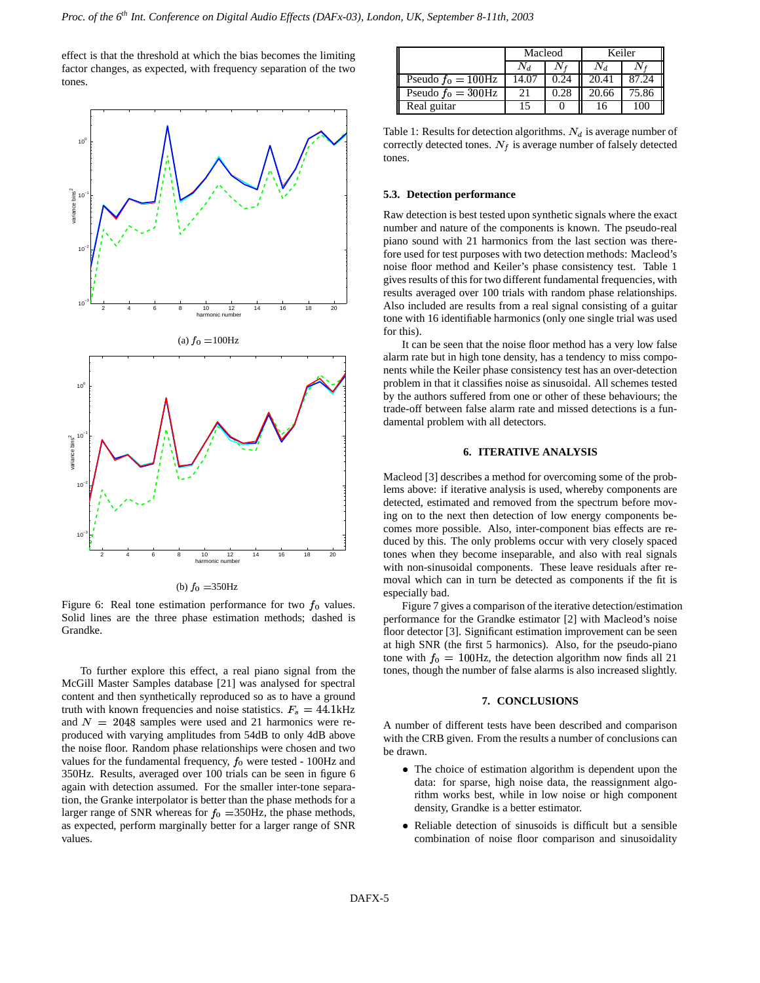effect is that the threshold at which the bias becomes the limiting factor changes, as expected, with frequency separation of the two tones.



(b)  $f_0 = 350$ Hz

Figure 6: Real tone estimation performance for two  $f_0$  values. Solid lines are the three phase estimation methods; dashed is Grandke.

To further explore this effect, a real piano signal from the McGill Master Samples database [21] was analysed for spectral content and then synthetically reproduced so as to have a ground truth with known frequencies and noise statistics.  $F_s = 44.1 \text{kHz}$ and  $N = 2048$  samples were used and 21 harmonics were reproduced with varying amplitudes from 54dB to only 4dB above the noise floor. Random phase relationships were chosen and two values for the fundamental frequency,  $f_0$  were tested - 100Hz and 350Hz. Results, averaged over 100 trials can be seen in figure 6 again with detection assumed. For the smaller inter-tone separation, the Granke interpolator is better than the phase methods for a larger range of SNR whereas for  $f_0 = 350$ Hz, the phase methods, as expected, perform marginally better for a larger range of SNR values.

|                       | Macleod |      | Keiler |       |
|-----------------------|---------|------|--------|-------|
|                       |         |      |        |       |
| Pseudo $f_0 = 100$ Hz | 14.07   |      | 20.41  |       |
| Pseudo $f_0 = 300$ Hz |         | 0.28 | 20.66  | 75.86 |
| Real guitar           |         |      |        | 100   |

Table 1: Results for detection algorithms.  $N_d$  is average number of correctly detected tones.  $N_f$  is average number of falsely detected tones.

#### **5.3. Detection performance**

Raw detection is best tested upon synthetic signals where the exact number and nature of the components is known. The pseudo-real piano sound with 21 harmonics from the last section was therefore used for test purposes with two detection methods: Macleod's noise floor method and Keiler's phase consistency test. Table 1 gives results of this for two different fundamental frequencies, with results averaged over 100 trials with random phase relationships. Also included are results from a real signal consisting of a guitar tone with 16 identifiable harmonics (only one single trial was used for this).

It can be seen that the noise floor method has a very low false alarm rate but in high tone density, has a tendency to miss components while the Keiler phase consistency test has an over-detection problem in that it classifies noise as sinusoidal. All schemes tested by the authors suffered from one or other of these behaviours; the trade-off between false alarm rate and missed detections is a fundamental problem with all detectors.

### **6. ITERATIVE ANALYSIS**

Macleod [3] describes a method for overcoming some of the problems above: if iterative analysis is used, whereby components are detected, estimated and removed from the spectrum before moving on to the next then detection of low energy components becomes more possible. Also, inter-component bias effects are reduced by this. The only problems occur with very closely spaced tones when they become inseparable, and also with real signals with non-sinusoidal components. These leave residuals after removal which can in turn be detected as components if the fit is especially bad.

Figure 7 gives a comparison of the iterative detection/estimation performance for the Grandke estimator [2] with Macleod's noise floor detector [3]. Significant estimation improvement can be seen at high SNR (the first 5 harmonics). Also, for the pseudo-piano tone with  $f_0 = 100$ Hz, the detection algorithm now finds all 21 tones, though the number of false alarms is also increased slightly.

#### **7. CONCLUSIONS**

A number of different tests have been described and comparison with the CRB given. From the results a number of conclusions can be drawn.

- The choice of estimation algorithm is dependent upon the data: for sparse, high noise data, the reassignment algorithm works best, while in low noise or high component density, Grandke is a better estimator.
- Reliable detection of sinusoids is difficult but a sensible combination of noise floor comparison and sinusoidality